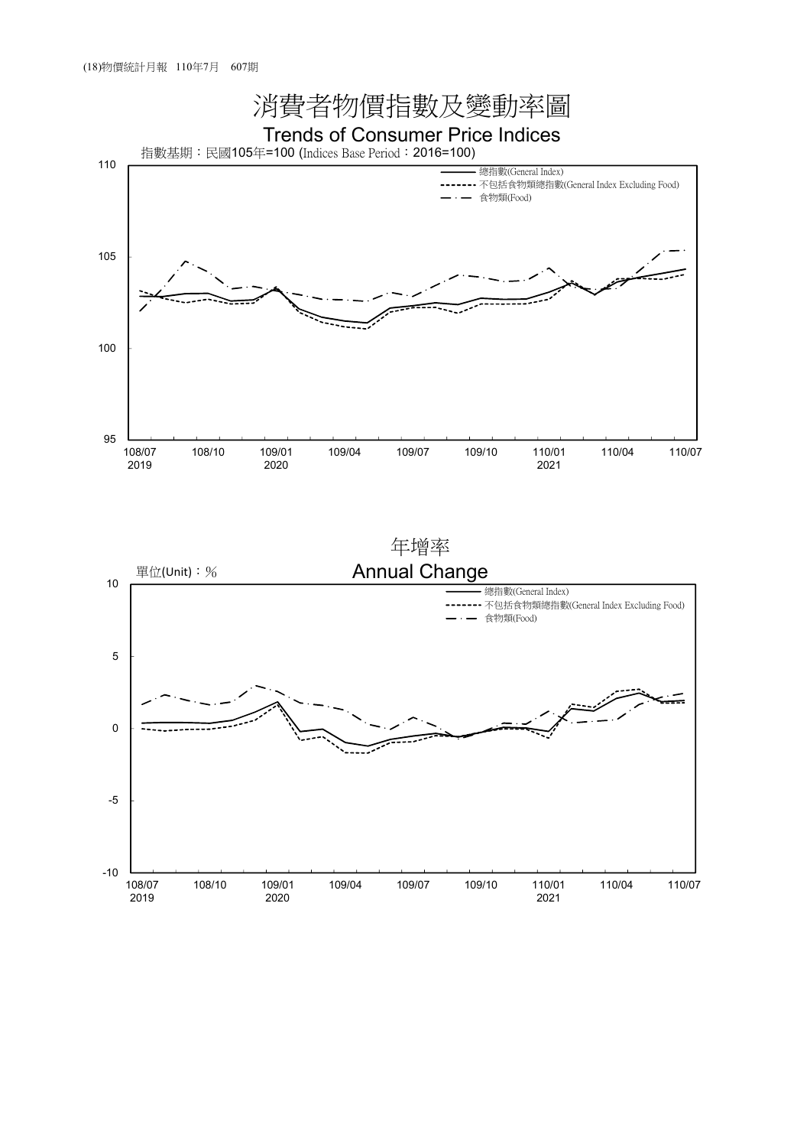

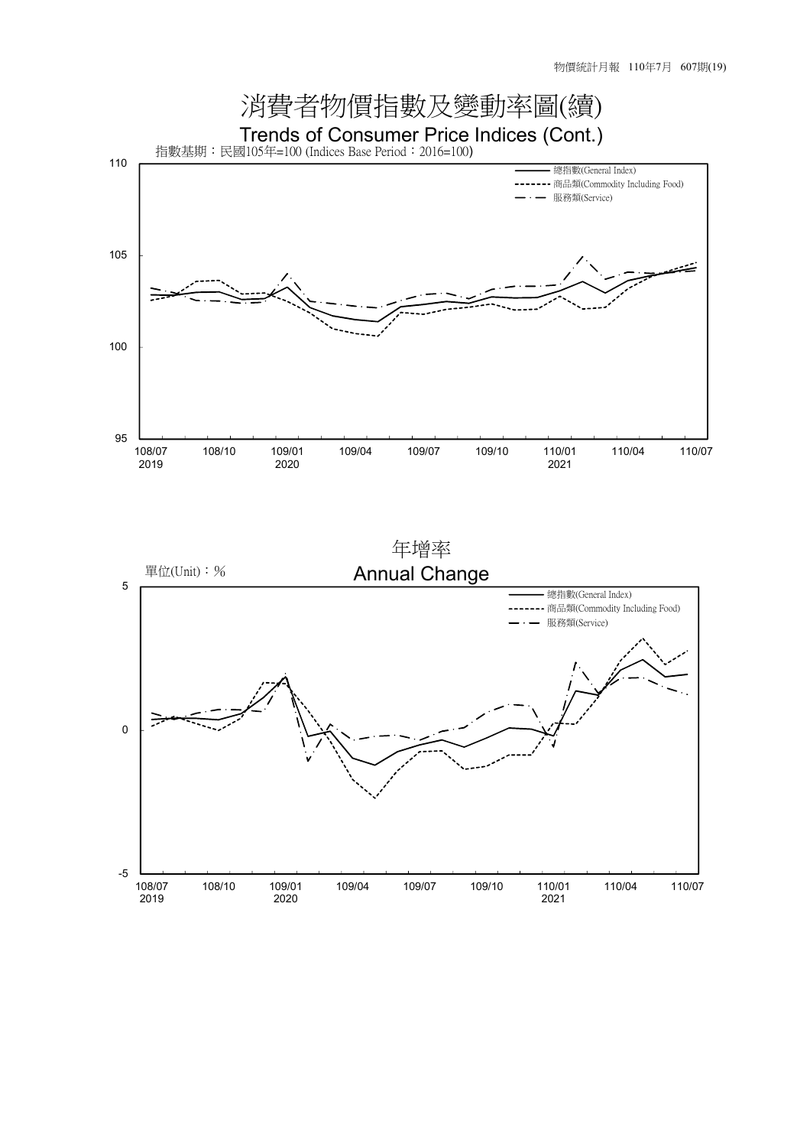